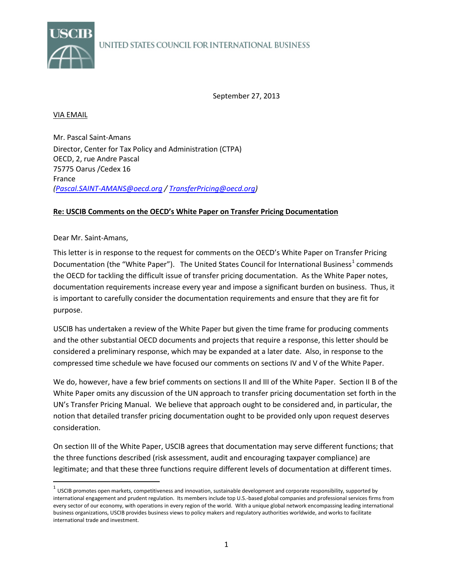

September 27, 2013

## VIA EMAIL

Mr. Pascal Saint-Amans Director, Center for Tax Policy and Administration (CTPA) OECD, 2, rue Andre Pascal 75775 Oarus /Cedex 16 France *[\(Pascal.SAINT-AMANS@oecd.org](mailto:Pascal.SAINT-AMANS@oecd.org) [/ TransferPricing@oecd.org\)](mailto:TransferPricing@oecd.org)* 

## **Re: USCIB Comments on the OECD's White Paper on Transfer Pricing Documentation**

## Dear Mr. Saint-Amans,

This letter is in response to the request for comments on the OECD's White Paper on Transfer Pricing Documentation (the "White Paper"). The United States Council for International Business<sup>[1](#page-0-0)</sup> commends the OECD for tackling the difficult issue of transfer pricing documentation. As the White Paper notes, documentation requirements increase every year and impose a significant burden on business. Thus, it is important to carefully consider the documentation requirements and ensure that they are fit for purpose.

USCIB has undertaken a review of the White Paper but given the time frame for producing comments and the other substantial OECD documents and projects that require a response, this letter should be considered a preliminary response, which may be expanded at a later date. Also, in response to the compressed time schedule we have focused our comments on sections IV and V of the White Paper.

We do, however, have a few brief comments on sections II and III of the White Paper. Section II B of the White Paper omits any discussion of the UN approach to transfer pricing documentation set forth in the UN's Transfer Pricing Manual. We believe that approach ought to be considered and, in particular, the notion that detailed transfer pricing documentation ought to be provided only upon request deserves consideration.

On section III of the White Paper, USCIB agrees that documentation may serve different functions; that the three functions described (risk assessment, audit and encouraging taxpayer compliance) are legitimate; and that these three functions require different levels of documentation at different times.

<span id="page-0-0"></span> $1$  USCIB promotes open markets, competitiveness and innovation, sustainable development and corporate responsibility, supported by international engagement and prudent regulation. Its members include top U.S.-based global companies and professional services firms from every sector of our economy, with operations in every region of the world. With a unique global network encompassing leading international business organizations, USCIB provides business views to policy makers and regulatory authorities worldwide, and works to facilitate international trade and investment.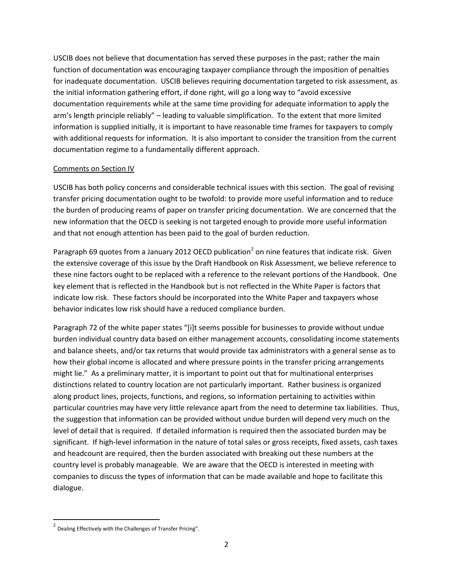USCIB does not believe that documentation has served these purposes in the past; rather the main function of documentation was encouraging taxpayer compliance through the imposition of penalties for inadequate documentation. USCIB believes requiring documentation targeted to risk assessment, as the initial information gathering effort, if done right, will go a long way to "avoid excessive documentation requirements while at the same time providing for adequate information to apply the arm's length principle reliably" – leading to valuable simplification. To the extent that more limited information is supplied initially, it is important to have reasonable time frames for taxpayers to comply with additional requests for information. It is also important to consider the transition from the current documentation regime to a fundamentally different approach.

## Comments on Section IV

USCIB has both policy concerns and considerable technical issues with this section. The goal of revising transfer pricing documentation ought to be twofold: to provide more useful information and to reduce the burden of producing reams of paper on transfer pricing documentation. We are concerned that the new information that the OECD is seeking is not targeted enough to provide more useful information and that not enough attention has been paid to the goal of burden reduction.

Paragraph 69 quotes from a January [2](#page-1-0)012 OECD publication<sup>2</sup> on nine features that indicate risk. Given the extensive coverage of this issue by the Draft Handbook on Risk Assessment, we believe reference to these nine factors ought to be replaced with a reference to the relevant portions of the Handbook. One key element that is reflected in the Handbook but is not reflected in the White Paper is factors that indicate low risk. These factors should be incorporated into the White Paper and taxpayers whose behavior indicates low risk should have a reduced compliance burden.

Paragraph 72 of the white paper states "[i]t seems possible for businesses to provide without undue burden individual country data based on either management accounts, consolidating income statements and balance sheets, and/or tax returns that would provide tax administrators with a general sense as to how their global income is allocated and where pressure points in the transfer pricing arrangements might lie." As a preliminary matter, it is important to point out that for multinational enterprises distinctions related to country location are not particularly important. Rather business is organized along product lines, projects, functions, and regions, so information pertaining to activities within particular countries may have very little relevance apart from the need to determine tax liabilities. Thus, the suggestion that information can be provided without undue burden will depend very much on the level of detail that is required. If detailed information is required then the associated burden may be significant. If high-level information in the nature of total sales or gross receipts, fixed assets, cash taxes and headcount are required, then the burden associated with breaking out these numbers at the country level is probably manageable. We are aware that the OECD is interested in meeting with companies to discuss the types of information that can be made available and hope to facilitate this dialogue.

<span id="page-1-0"></span><sup>&</sup>lt;sup>2</sup> Dealing Effectively with the Challenges of Transfer Pricing".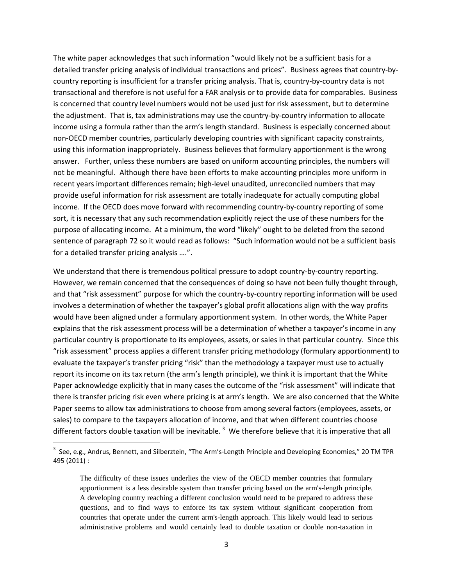The white paper acknowledges that such information "would likely not be a sufficient basis for a detailed transfer pricing analysis of individual transactions and prices". Business agrees that country-bycountry reporting is insufficient for a transfer pricing analysis. That is, country-by-country data is not transactional and therefore is not useful for a FAR analysis or to provide data for comparables. Business is concerned that country level numbers would not be used just for risk assessment, but to determine the adjustment. That is, tax administrations may use the country-by-country information to allocate income using a formula rather than the arm's length standard. Business is especially concerned about non-OECD member countries, particularly developing countries with significant capacity constraints, using this information inappropriately. Business believes that formulary apportionment is the wrong answer. Further, unless these numbers are based on uniform accounting principles, the numbers will not be meaningful. Although there have been efforts to make accounting principles more uniform in recent years important differences remain; high-level unaudited, unreconciled numbers that may provide useful information for risk assessment are totally inadequate for actually computing global income. If the OECD does move forward with recommending country-by-country reporting of some sort, it is necessary that any such recommendation explicitly reject the use of these numbers for the purpose of allocating income. At a minimum, the word "likely" ought to be deleted from the second sentence of paragraph 72 so it would read as follows: "Such information would not be a sufficient basis for a detailed transfer pricing analysis ….".

We understand that there is tremendous political pressure to adopt country-by-country reporting. However, we remain concerned that the consequences of doing so have not been fully thought through, and that "risk assessment" purpose for which the country-by-country reporting information will be used involves a determination of whether the taxpayer's global profit allocations align with the way profits would have been aligned under a formulary apportionment system. In other words, the White Paper explains that the risk assessment process will be a determination of whether a taxpayer's income in any particular country is proportionate to its employees, assets, or sales in that particular country. Since this "risk assessment" process applies a different transfer pricing methodology (formulary apportionment) to evaluate the taxpayer's transfer pricing "risk" than the methodology a taxpayer must use to actually report its income on its tax return (the arm's length principle), we think it is important that the White Paper acknowledge explicitly that in many cases the outcome of the "risk assessment" will indicate that there is transfer pricing risk even where pricing is at arm's length. We are also concerned that the White Paper seems to allow tax administrations to choose from among several factors (employees, assets, or sales) to compare to the taxpayers allocation of income, and that when different countries choose different factors double taxation will be inevitable.<sup>[3](#page-2-0)</sup> We therefore believe that it is imperative that all

<span id="page-2-0"></span><sup>-&</sup>lt;br>3 <sup>3</sup> See, e.g., Andrus, Bennett, and Silberztein, "The Arm's-Length Principle and Developing Economies," 20 TM TPR 495 (2011) :

The difficulty of these issues underlies the view of the OECD member countries that formulary apportionment is a less desirable system than transfer pricing based on the arm's-length principle. A developing country reaching a different conclusion would need to be prepared to address these questions, and to find ways to enforce its tax system without significant cooperation from countries that operate under the current arm's-length approach. This likely would lead to serious administrative problems and would certainly lead to double taxation or double non-taxation in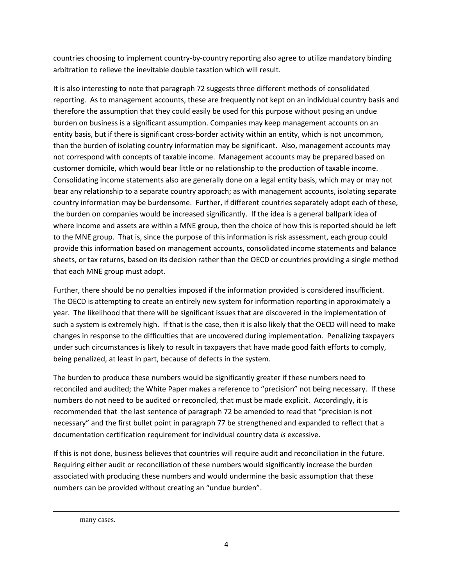countries choosing to implement country-by-country reporting also agree to utilize mandatory binding arbitration to relieve the inevitable double taxation which will result.

It is also interesting to note that paragraph 72 suggests three different methods of consolidated reporting. As to management accounts, these are frequently not kept on an individual country basis and therefore the assumption that they could easily be used for this purpose without posing an undue burden on business is a significant assumption. Companies may keep management accounts on an entity basis, but if there is significant cross-border activity within an entity, which is not uncommon, than the burden of isolating country information may be significant. Also, management accounts may not correspond with concepts of taxable income. Management accounts may be prepared based on customer domicile, which would bear little or no relationship to the production of taxable income. Consolidating income statements also are generally done on a legal entity basis, which may or may not bear any relationship to a separate country approach; as with management accounts, isolating separate country information may be burdensome. Further, if different countries separately adopt each of these, the burden on companies would be increased significantly. If the idea is a general ballpark idea of where income and assets are within a MNE group, then the choice of how this is reported should be left to the MNE group. That is, since the purpose of this information is risk assessment, each group could provide this information based on management accounts, consolidated income statements and balance sheets, or tax returns, based on its decision rather than the OECD or countries providing a single method that each MNE group must adopt.

Further, there should be no penalties imposed if the information provided is considered insufficient. The OECD is attempting to create an entirely new system for information reporting in approximately a year. The likelihood that there will be significant issues that are discovered in the implementation of such a system is extremely high. If that is the case, then it is also likely that the OECD will need to make changes in response to the difficulties that are uncovered during implementation. Penalizing taxpayers under such circumstances is likely to result in taxpayers that have made good faith efforts to comply, being penalized, at least in part, because of defects in the system.

The burden to produce these numbers would be significantly greater if these numbers need to reconciled and audited; the White Paper makes a reference to "precision" not being necessary. If these numbers do not need to be audited or reconciled, that must be made explicit. Accordingly, it is recommended that the last sentence of paragraph 72 be amended to read that "precision is not necessary" and the first bullet point in paragraph 77 be strengthened and expanded to reflect that a documentation certification requirement for individual country data *is* excessive.

If this is not done, business believes that countries will require audit and reconciliation in the future. Requiring either audit or reconciliation of these numbers would significantly increase the burden associated with producing these numbers and would undermine the basic assumption that these numbers can be provided without creating an "undue burden".

many cases.

l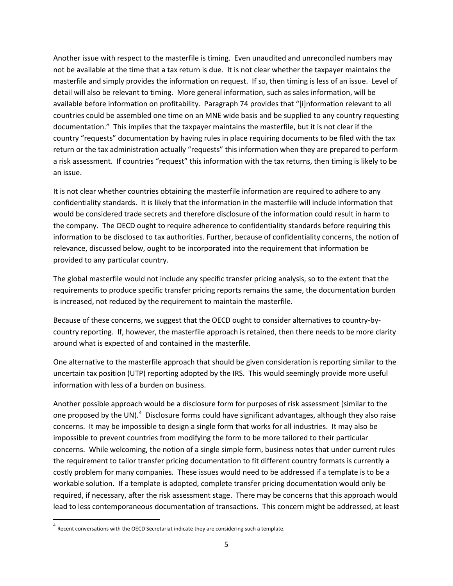Another issue with respect to the masterfile is timing. Even unaudited and unreconciled numbers may not be available at the time that a tax return is due. It is not clear whether the taxpayer maintains the masterfile and simply provides the information on request. If so, then timing is less of an issue. Level of detail will also be relevant to timing. More general information, such as sales information, will be available before information on profitability. Paragraph 74 provides that "[i]nformation relevant to all countries could be assembled one time on an MNE wide basis and be supplied to any country requesting documentation." This implies that the taxpayer maintains the masterfile, but it is not clear if the country "requests" documentation by having rules in place requiring documents to be filed with the tax return or the tax administration actually "requests" this information when they are prepared to perform a risk assessment. If countries "request" this information with the tax returns, then timing is likely to be an issue.

It is not clear whether countries obtaining the masterfile information are required to adhere to any confidentiality standards. It is likely that the information in the masterfile will include information that would be considered trade secrets and therefore disclosure of the information could result in harm to the company. The OECD ought to require adherence to confidentiality standards before requiring this information to be disclosed to tax authorities. Further, because of confidentiality concerns, the notion of relevance, discussed below, ought to be incorporated into the requirement that information be provided to any particular country.

The global masterfile would not include any specific transfer pricing analysis, so to the extent that the requirements to produce specific transfer pricing reports remains the same, the documentation burden is increased, not reduced by the requirement to maintain the masterfile.

Because of these concerns, we suggest that the OECD ought to consider alternatives to country-bycountry reporting. If, however, the masterfile approach is retained, then there needs to be more clarity around what is expected of and contained in the masterfile.

One alternative to the masterfile approach that should be given consideration is reporting similar to the uncertain tax position (UTP) reporting adopted by the IRS. This would seemingly provide more useful information with less of a burden on business.

Another possible approach would be a disclosure form for purposes of risk assessment (similar to the one proposed by the UN).<sup>[4](#page-4-0)</sup> Disclosure forms could have significant advantages, although they also raise concerns. It may be impossible to design a single form that works for all industries. It may also be impossible to prevent countries from modifying the form to be more tailored to their particular concerns. While welcoming, the notion of a single simple form, business notes that under current rules the requirement to tailor transfer pricing documentation to fit different country formats is currently a costly problem for many companies. These issues would need to be addressed if a template is to be a workable solution. If a template is adopted, complete transfer pricing documentation would only be required, if necessary, after the risk assessment stage. There may be concerns that this approach would lead to less contemporaneous documentation of transactions. This concern might be addressed, at least

<span id="page-4-0"></span> $4$  Recent conversations with the OECD Secretariat indicate they are considering such a template.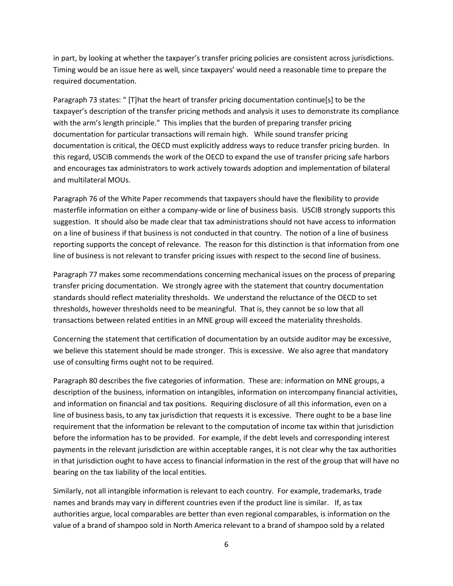in part, by looking at whether the taxpayer's transfer pricing policies are consistent across jurisdictions. Timing would be an issue here as well, since taxpayers' would need a reasonable time to prepare the required documentation.

Paragraph 73 states: " [T]hat the heart of transfer pricing documentation continue[s] to be the taxpayer's description of the transfer pricing methods and analysis it uses to demonstrate its compliance with the arm's length principle." This implies that the burden of preparing transfer pricing documentation for particular transactions will remain high. While sound transfer pricing documentation is critical, the OECD must explicitly address ways to reduce transfer pricing burden. In this regard, USCIB commends the work of the OECD to expand the use of transfer pricing safe harbors and encourages tax administrators to work actively towards adoption and implementation of bilateral and multilateral MOUs.

Paragraph 76 of the White Paper recommends that taxpayers should have the flexibility to provide masterfile information on either a company-wide or line of business basis. USCIB strongly supports this suggestion. It should also be made clear that tax administrations should not have access to information on a line of business if that business is not conducted in that country. The notion of a line of business reporting supports the concept of relevance. The reason for this distinction is that information from one line of business is not relevant to transfer pricing issues with respect to the second line of business.

Paragraph 77 makes some recommendations concerning mechanical issues on the process of preparing transfer pricing documentation. We strongly agree with the statement that country documentation standards should reflect materiality thresholds. We understand the reluctance of the OECD to set thresholds, however thresholds need to be meaningful. That is, they cannot be so low that all transactions between related entities in an MNE group will exceed the materiality thresholds.

Concerning the statement that certification of documentation by an outside auditor may be excessive, we believe this statement should be made stronger. This is excessive. We also agree that mandatory use of consulting firms ought not to be required.

Paragraph 80 describes the five categories of information. These are: information on MNE groups, a description of the business, information on intangibles, information on intercompany financial activities, and information on financial and tax positions. Requiring disclosure of all this information, even on a line of business basis, to any tax jurisdiction that requests it is excessive. There ought to be a base line requirement that the information be relevant to the computation of income tax within that jurisdiction before the information has to be provided. For example, if the debt levels and corresponding interest payments in the relevant jurisdiction are within acceptable ranges, it is not clear why the tax authorities in that jurisdiction ought to have access to financial information in the rest of the group that will have no bearing on the tax liability of the local entities.

Similarly, not all intangible information is relevant to each country. For example, trademarks, trade names and brands may vary in different countries even if the product line is similar. If, as tax authorities argue, local comparables are better than even regional comparables, is information on the value of a brand of shampoo sold in North America relevant to a brand of shampoo sold by a related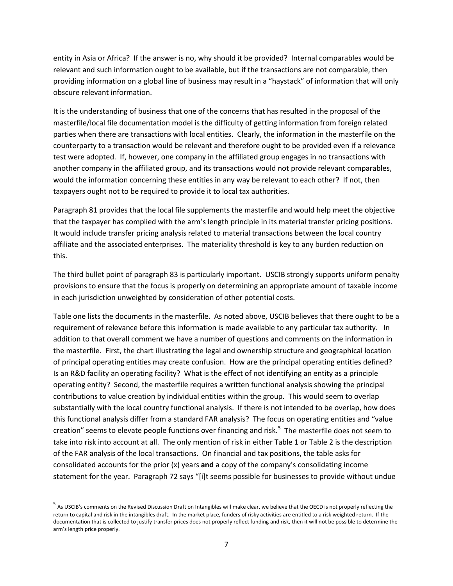entity in Asia or Africa? If the answer is no, why should it be provided? Internal comparables would be relevant and such information ought to be available, but if the transactions are not comparable, then providing information on a global line of business may result in a "haystack" of information that will only obscure relevant information.

It is the understanding of business that one of the concerns that has resulted in the proposal of the masterfile/local file documentation model is the difficulty of getting information from foreign related parties when there are transactions with local entities. Clearly, the information in the masterfile on the counterparty to a transaction would be relevant and therefore ought to be provided even if a relevance test were adopted. If, however, one company in the affiliated group engages in no transactions with another company in the affiliated group, and its transactions would not provide relevant comparables, would the information concerning these entities in any way be relevant to each other? If not, then taxpayers ought not to be required to provide it to local tax authorities.

Paragraph 81 provides that the local file supplements the masterfile and would help meet the objective that the taxpayer has complied with the arm's length principle in its material transfer pricing positions. It would include transfer pricing analysis related to material transactions between the local country affiliate and the associated enterprises. The materiality threshold is key to any burden reduction on this.

The third bullet point of paragraph 83 is particularly important. USCIB strongly supports uniform penalty provisions to ensure that the focus is properly on determining an appropriate amount of taxable income in each jurisdiction unweighted by consideration of other potential costs.

Table one lists the documents in the masterfile. As noted above, USCIB believes that there ought to be a requirement of relevance before this information is made available to any particular tax authority. In addition to that overall comment we have a number of questions and comments on the information in the masterfile. First, the chart illustrating the legal and ownership structure and geographical location of principal operating entities may create confusion. How are the principal operating entities defined? Is an R&D facility an operating facility? What is the effect of not identifying an entity as a principle operating entity? Second, the masterfile requires a written functional analysis showing the principal contributions to value creation by individual entities within the group. This would seem to overlap substantially with the local country functional analysis. If there is not intended to be overlap, how does this functional analysis differ from a standard FAR analysis? The focus on operating entities and "value creation" seems to elevate people functions over financing and risk.<sup>[5](#page-6-0)</sup> The masterfile does not seem to take into risk into account at all. The only mention of risk in either Table 1 or Table 2 is the description of the FAR analysis of the local transactions. On financial and tax positions, the table asks for consolidated accounts for the prior (x) years **and** a copy of the company's consolidating income statement for the year. Paragraph 72 says "[i]t seems possible for businesses to provide without undue

<span id="page-6-0"></span> <sup>5</sup> As USCIB's comments on the Revised Discussion Draft on Intangibles will make clear, we believe that the OECD is not properly reflecting the return to capital and risk in the intangibles draft. In the market place, funders of risky activities are entitled to a risk weighted return. If the documentation that is collected to justify transfer prices does not properly reflect funding and risk, then it will not be possible to determine the arm's length price properly.